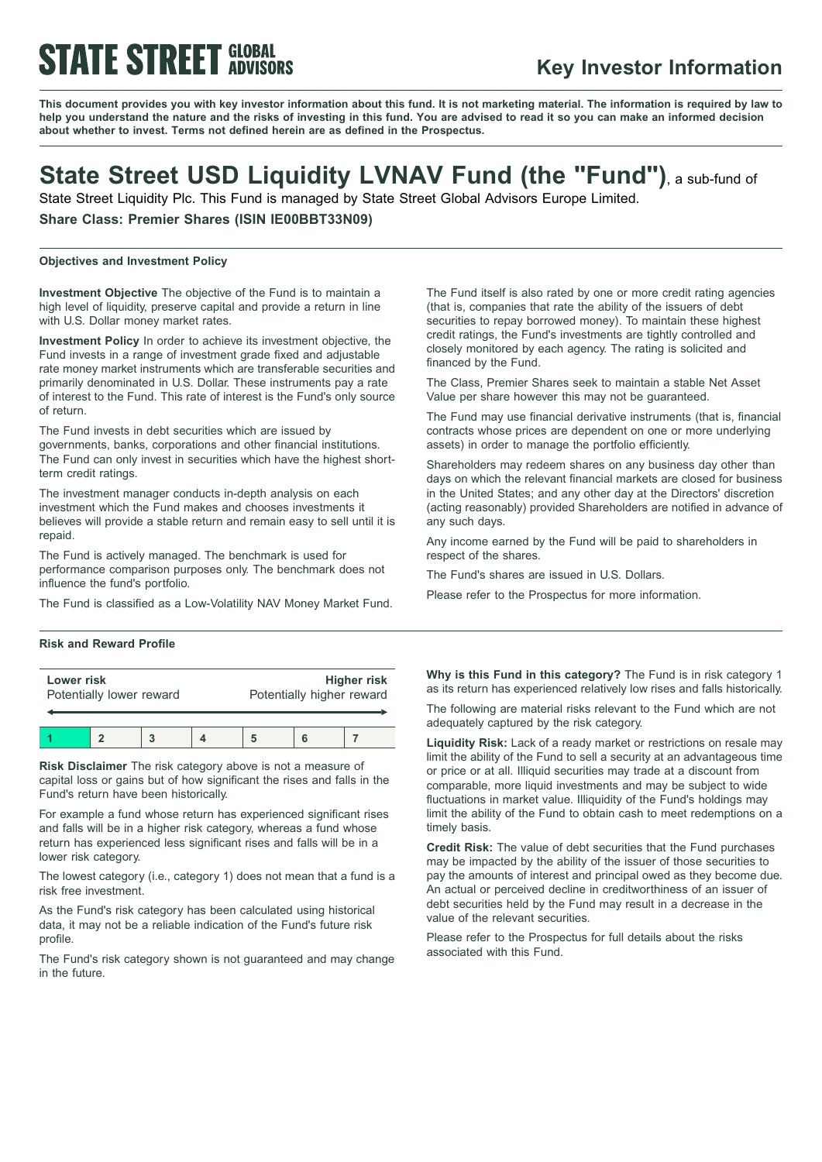# **STATE STREET GLOBAL**

### **Key Investor Information**

This document provides you with key investor information about this fund. It is not marketing material. The information is required by law to help you understand the nature and the risks of investing in this fund. You are advised to read it so you can make an informed decision **about whether to invest. Terms not defined herein are as defined in the Prospectus.**

### **State Street USD Liquidity LVNAV Fund (the "Fund")**, <sup>a</sup> sub-fund of

State Street Liquidity Plc. This Fund is managed by State Street Global Advisors Europe Limited.

**Share Class: Premier Shares (ISIN IE00BBT33N09)**

#### **Objectives and Investment Policy**

**Investment Objective** The objective of the Fund is to maintain a high level of liquidity, preserve capital and provide a return in line with U.S. Dollar money market rates.

**Investment Policy** In order to achieve its investment objective, the Fund invests in a range of investment grade fixed and adjustable rate money market instruments which are transferable securities and primarily denominated in U.S. Dollar. These instruments pay a rate of interest to the Fund. This rate of interest is the Fund's only source of return.

The Fund invests in debt securities which are issued by governments, banks, corporations and other financial institutions. The Fund can only invest in securities which have the highest shortterm credit ratings.

The investment manager conducts in-depth analysis on each investment which the Fund makes and chooses investments it believes will provide a stable return and remain easy to sell until it is repaid.

The Fund is actively managed. The benchmark is used for performance comparison purposes only. The benchmark does not influence the fund's portfolio.

The Fund is classified as a Low-Volatility NAV Money Market Fund.

#### **Risk and Reward Profile**

| Lower risk<br>Potentially lower reward |  |  | <b>Higher risk</b><br>Potentially higher reward |  |  |
|----------------------------------------|--|--|-------------------------------------------------|--|--|
|                                        |  |  |                                                 |  |  |

**Risk Disclaimer** The risk category above is not a measure of capital loss or gains but of how significant the rises and falls in the Fund's return have been historically.

For example a fund whose return has experienced significant rises and falls will be in a higher risk category, whereas a fund whose return has experienced less significant rises and falls will be in a lower risk category.

The lowest category (i.e., category 1) does not mean that a fund is a risk free investment.

As the Fund's risk category has been calculated using historical data, it may not be a reliable indication of the Fund's future risk profile.

The Fund's risk category shown is not guaranteed and may change in the future.

The Fund itself is also rated by one or more credit rating agencies (that is, companies that rate the ability of the issuers of debt securities to repay borrowed money). To maintain these highest credit ratings, the Fund's investments are tightly controlled and closely monitored by each agency. The rating is solicited and financed by the Fund.

The Class, Premier Shares seek to maintain a stable Net Asset Value per share however this may not be guaranteed.

The Fund may use financial derivative instruments (that is, financial contracts whose prices are dependent on one or more underlying assets) in order to manage the portfolio efficiently.

Shareholders may redeem shares on any business day other than days on which the relevant financial markets are closed for business in the United States; and any other day at the Directors' discretion (acting reasonably) provided Shareholders are notified in advance of any such days.

Any income earned by the Fund will be paid to shareholders in respect of the shares.

The Fund's shares are issued in U.S. Dollars.

Please refer to the Prospectus for more information.

**Why is this Fund in this category?** The Fund is in risk category 1 as its return has experienced relatively low rises and falls historically.

The following are material risks relevant to the Fund which are not adequately captured by the risk category.

**Liquidity Risk:** Lack of a ready market or restrictions on resale may limit the ability of the Fund to sell a security at an advantageous time or price or at all. Illiquid securities may trade at a discount from comparable, more liquid investments and may be subject to wide fluctuations in market value. Illiquidity of the Fund's holdings may limit the ability of the Fund to obtain cash to meet redemptions on a timely basis.

**Credit Risk:** The value of debt securities that the Fund purchases may be impacted by the ability of the issuer of those securities to pay the amounts of interest and principal owed as they become due. An actual or perceived decline in creditworthiness of an issuer of debt securities held by the Fund may result in a decrease in the value of the relevant securities.

Please refer to the Prospectus for full details about the risks associated with this Fund.